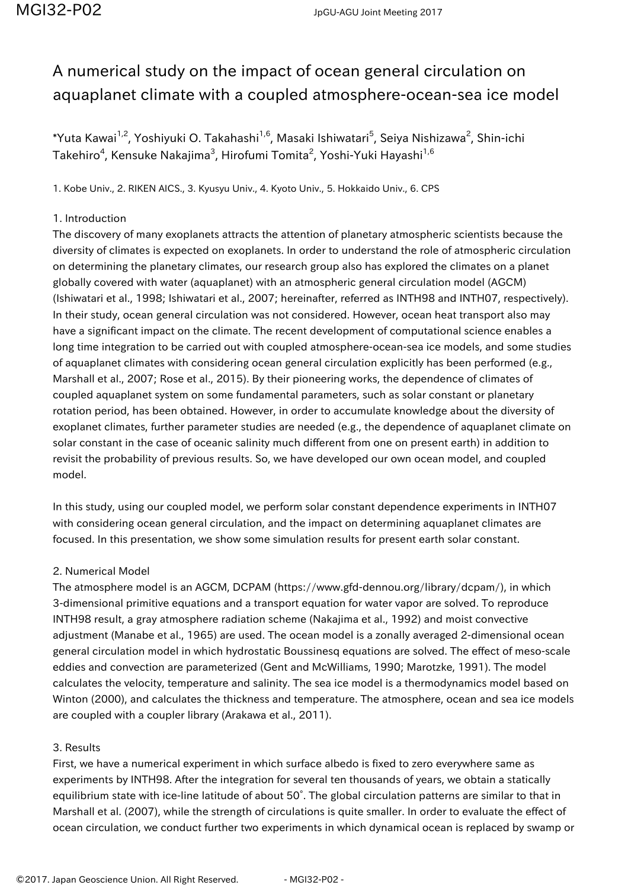## A numerical study on the impact of ocean general circulation on aquaplanet climate with a coupled atmosphere-ocean-sea ice model

 $^*$ Yuta Kawai $^{1,2}$ , Yoshiyuki O. Takahashi $^{1,6}$ , Masaki Ishiwatari $^5$ , Seiya Nishizawa $^2$ , Shin-ichi Takehiro $^4$ , Kensuke Nakajima $^3$ , Hirofumi Tomita $^2$ , Yoshi-Yuki Hayashi $^{1,6}$ 

1. Kobe Univ., 2. RIKEN AICS., 3. Kyusyu Univ., 4. Kyoto Univ., 5. Hokkaido Univ., 6. CPS

## 1. Introduction

The discovery of many exoplanets attracts the attention of planetary atmospheric scientists because the diversity of climates is expected on exoplanets. In order to understand the role of atmospheric circulation on determining the planetary climates, our research group also has explored the climates on a planet globally covered with water (aquaplanet) with an atmospheric general circulation model (AGCM) (Ishiwatari et al., 1998; Ishiwatari et al., 2007; hereinafter, referred as INTH98 and INTH07, respectively). In their study, ocean general circulation was not considered. However, ocean heat transport also may have a significant impact on the climate. The recent development of computational science enables a long time integration to be carried out with coupled atmosphere-ocean-sea ice models, and some studies of aquaplanet climates with considering ocean general circulation explicitly has been performed (e.g., Marshall et al., 2007; Rose et al., 2015). By their pioneering works, the dependence of climates of coupled aquaplanet system on some fundamental parameters, such as solar constant or planetary rotation period, has been obtained. However, in order to accumulate knowledge about the diversity of exoplanet climates, further parameter studies are needed (e.g., the dependence of aquaplanet climate on solar constant in the case of oceanic salinity much different from one on present earth) in addition to revisit the probability of previous results. So, we have developed our own ocean model, and coupled model.

In this study, using our coupled model, we perform solar constant dependence experiments in INTH07 with considering ocean general circulation, and the impact on determining aquaplanet climates are focused. In this presentation, we show some simulation results for present earth solar constant.

## 2. Numerical Model

The atmosphere model is an AGCM, DCPAM (https://www.gfd-dennou.org/library/dcpam/), in which 3-dimensional primitive equations and a transport equation for water vapor are solved. To reproduce INTH98 result, a gray atmosphere radiation scheme (Nakajima et al., 1992) and moist convective adjustment (Manabe et al., 1965) are used. The ocean model is a zonally averaged 2-dimensional ocean general circulation model in which hydrostatic Boussinesq equations are solved. The effect of meso-scale eddies and convection are parameterized (Gent and McWilliams, 1990; Marotzke, 1991). The model calculates the velocity, temperature and salinity. The sea ice model is a thermodynamics model based on Winton (2000), and calculates the thickness and temperature. The atmosphere, ocean and sea ice models are coupled with a coupler library (Arakawa et al., 2011).

## 3. Results

First, we have a numerical experiment in which surface albedo is fixed to zero everywhere same as experiments by INTH98. After the integration for several ten thousands of years, we obtain a statically equilibrium state with ice-line latitude of about 50°. The global circulation patterns are similar to that in Marshall et al. (2007), while the strength of circulations is quite smaller. In order to evaluate the effect of ocean circulation, we conduct further two experiments in which dynamical ocean is replaced by swamp or